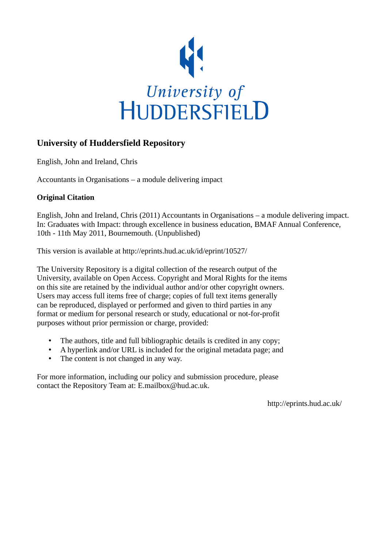

#### **University of Huddersfield Repository**

English, John and Ireland, Chris

Accountants in Organisations – a module delivering impact

#### **Original Citation**

English, John and Ireland, Chris (2011) Accountants in Organisations – a module delivering impact. In: Graduates with Impact: through excellence in business education, BMAF Annual Conference, 10th - 11th May 2011, Bournemouth. (Unpublished)

This version is available at http://eprints.hud.ac.uk/id/eprint/10527/

The University Repository is a digital collection of the research output of the University, available on Open Access. Copyright and Moral Rights for the items on this site are retained by the individual author and/or other copyright owners. Users may access full items free of charge; copies of full text items generally can be reproduced, displayed or performed and given to third parties in any format or medium for personal research or study, educational or not-for-profit purposes without prior permission or charge, provided:

- The authors, title and full bibliographic details is credited in any copy;
- A hyperlink and/or URL is included for the original metadata page; and
- The content is not changed in any way.

For more information, including our policy and submission procedure, please contact the Repository Team at: E.mailbox@hud.ac.uk.

http://eprints.hud.ac.uk/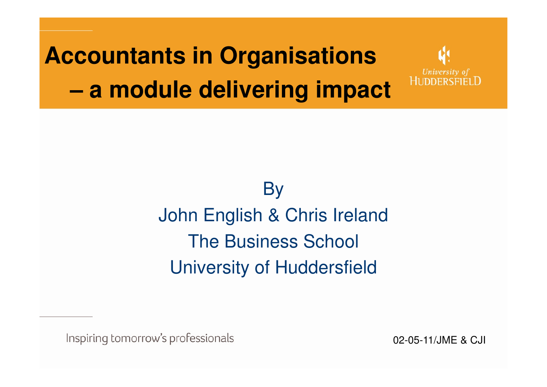# **Accountants in Organisations a module delivering impact**



# **By** John English & Chris IrelandThe Business SchoolUniversity of Huddersfield

Inspiring tomorrow's professionals

02-05-11/JME & CJI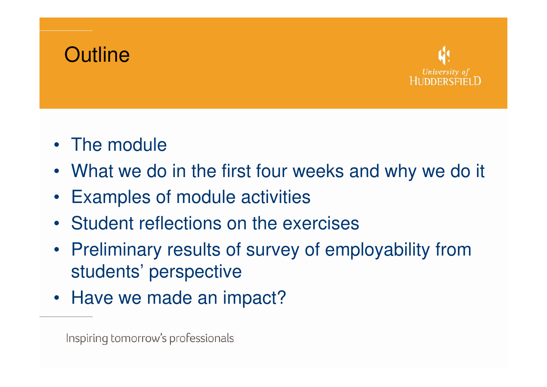

• The module

**Outline** 

- What we do in the first four weeks and why we do it
- Examples of module activities
- Student reflections on the exercises
- Preliminary results of survey of employability from students' perspective
- Have we made an impact?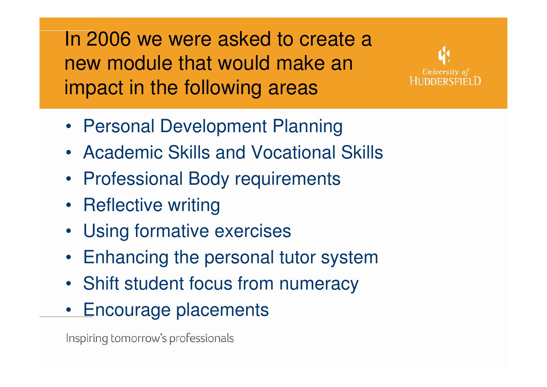In 2006 we were asked to create a new module that would make an impact in the following areas

- Personal Development Planning
- Academic Skills and Vocational Skills
- Professional Body requirements
- Reflective writing
- Using formative exercises
- Enhancing the personal tutor system
- Shift student focus from numeracy
- Encourage placements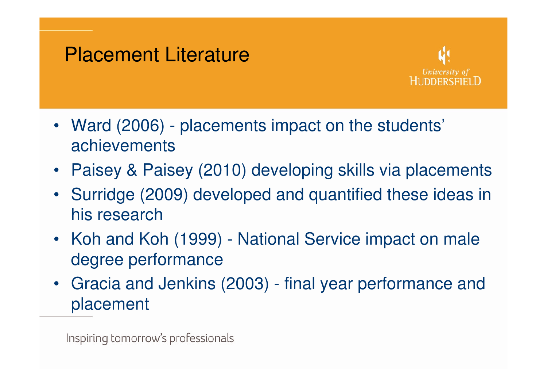#### Placement Literature



- Ward (2006) placements impact on the students' achievements
- Paisey & Paisey (2010) developing skills via placements
- Surridge (2009) developed and quantified these ideas in his research
- Koh and Koh (1999) National Service impact on male degree performance
- Gracia and Jenkins (2003) final year performance and placement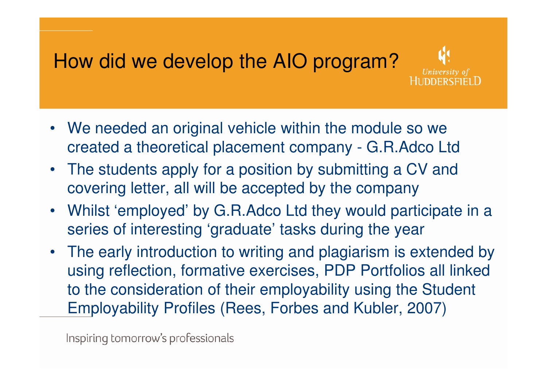# How did we develop the AIO program?



- We needed an original vehicle within the module so wecreated a theoretical placement company - G.R.Adco Ltd
- The students apply for a position by submitting a CV andcovering letter, all will be accepted by the company
- Whilst 'employed' by G.R.Adco Ltd they would participate in a series of interesting 'graduate' tasks during the year
- The early introduction to writing and plagiarism is extended by using reflection, formative exercises, PDP Portfolios all linked to the consideration of their employability using the Student Employability Profiles (Rees, Forbes and Kubler, 2007)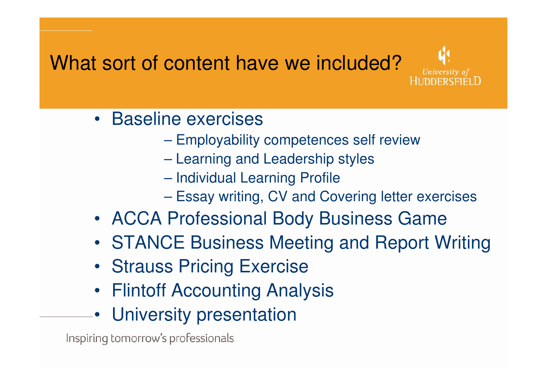# What sort of content have we included?



- Baseline exercises
	- Employability competences self review
	- Learning and Leadership styles
	- $\mathcal{L}_{\mathcal{A}}$  , and the set of the set of the set of the set of the set of the set of the set of the set of the set of the set of the set of the set of the set of the set of the set of the set of the set of the set of th Individual Learning Profile
	- $-$  Essay writing, CV and Covering letter exercises
- ACCA Professional Body Business Game
- STANCE Business Meeting and Report Writing
- Strauss Pricing Exercise
- Flintoff Accounting Analysis
- University presentation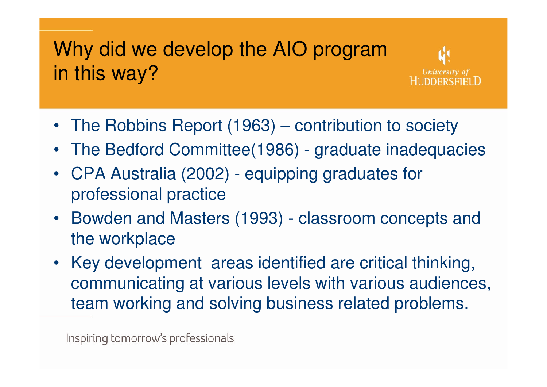# Why did we develop the AIO programin this way?



- The Robbins Report (1963) contribution to society
- The Bedford Committee(1986) graduate inadequacies
- CPA Australia (2002) equipping graduates for professional practice
- Bowden and Masters (1993) classroom concepts and the workplace
- Key development areas identified are critical thinking, communicating at various levels with various audiences, team working and solving business related problems.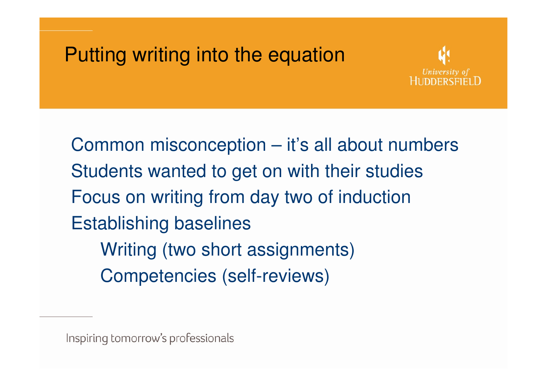## Putting writing into the equation



Common misconception – it's all about numbersStudents wanted to get on with their studiesFocus on writing from day two of inductionEstablishing baselinesWriting (two short assignments)Competencies (self-reviews)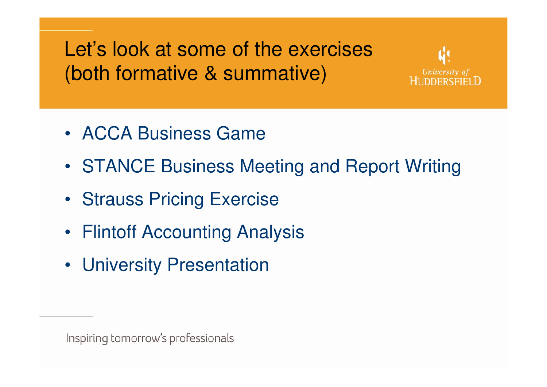Let's look at some of the exercises(both formative & summative)



- ACCA Business Game
- STANCE Business Meeting and Report Writing
- Strauss Pricing Exercise
- Flintoff Accounting Analysis
- University Presentation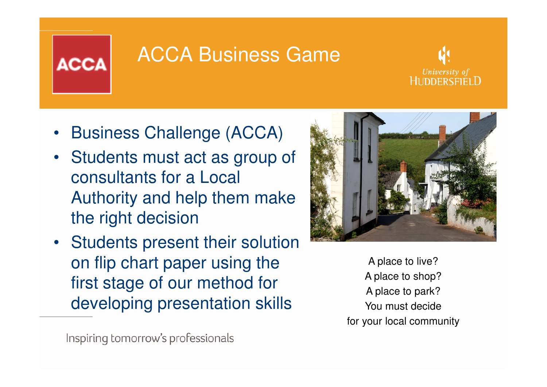

#### ACCA Business Game



- Business Challenge (ACCA)
- Students must act as group of consultants for a Local Authority and help them make the right decision
- Students present their solution on flip chart paper using the first stage of our method for developing presentation skills



A place to live? A place to shop? A place to park? You must decide for your local community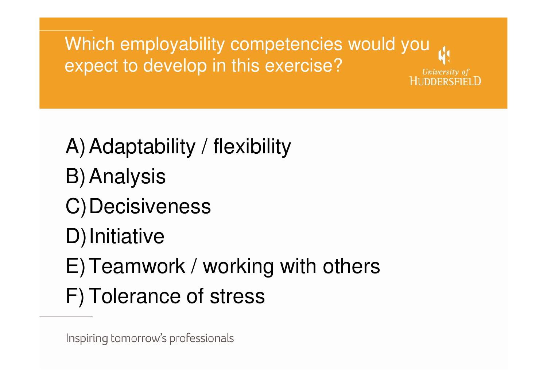Which employability competencies would you expect to develop in this exercise?University of **HUDDERSEIELD** 

A)Adaptability / flexibilityB)AnalysisC)DecisivenessD) Initiative E)Teamwork / working with othersF) Tolerance of stress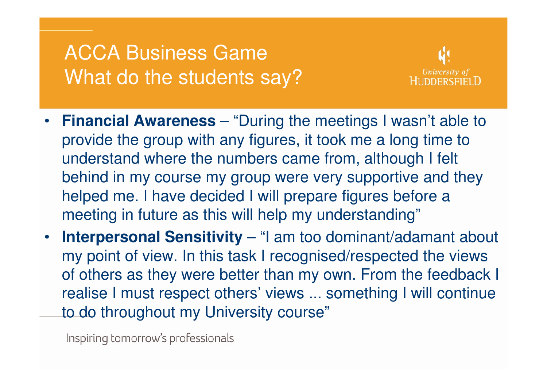### ACCA Business GameWhat do the students say?



- • **Financial Awareness** – "During the meetings I wasn't able to provide the group with any figures, it took me a long time to understand where the numbers came from, although I felt behind in my course my group were very supportive and they helped me. I have decided I will prepare figures before a meeting in future as this will help my understanding"
- $\bullet$ **Interpersonal Sensitivity** – "I am too dominant/adamant about my point of view. In this task I recognised/respected the views of others as they were better than my own. From the feedback I realise I must respect others' views ... something I will continue to do throughout my University course"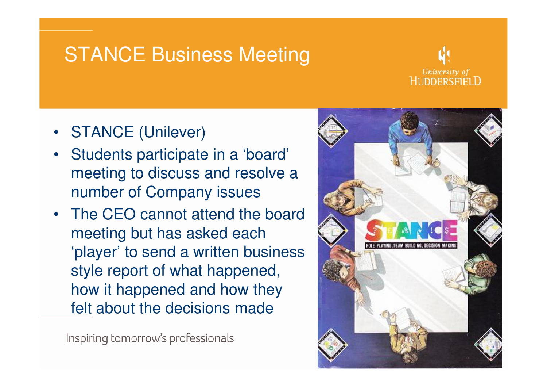#### STANCE Business Meeting



- STANCE (Unilever)
- • Students participate in a 'board' meeting to discuss and resolve a number of Company issues
- The CEO cannot attend the board meeting but has asked each 'player' to send a written business style report of what happened, how it happened and how they felt about the decisions made

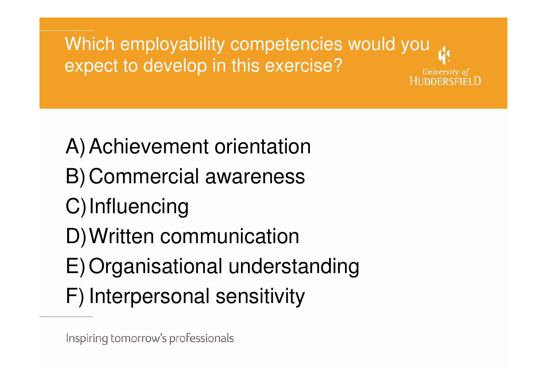Which employability competencies would you expect to develop in this exercise?University of

A)Achievement orientationB)Commercial awarenessC) Influencing D)Written communicationE)Organisational understandingF) Interpersonal sensitivity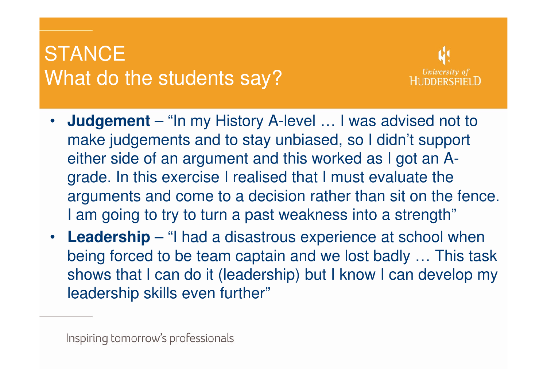# **STANCE** What do the students say?



- • **Judgement** – "In my History A-level … I was advised not to make judgements and to stay unbiased, so I didn't support either side of an argument and this worked as I got an Agrade. In this exercise I realised that I must evaluate the arguments and come to a decision rather than sit on the fence. I am going to try to turn a past weakness into a strength"
- **Leadership** "I had a disastrous experience at school when being forced to be team captain and we lost badly … This task shows that I can do it (leadership) but I know I can develop my leadership skills even further"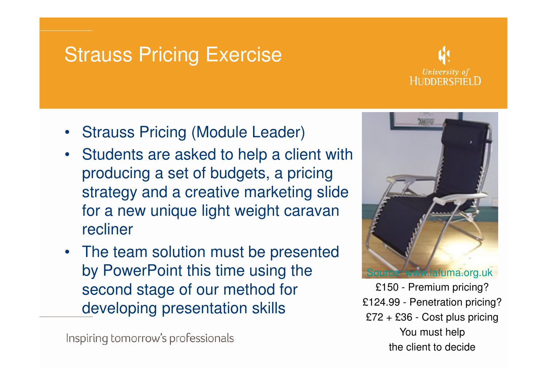#### **Strauss Pricing Exercise**



- Strauss Pricing (Module Leader)
- Students are asked to help a client with producing a set of budgets, a pricing strategy and a creative marketing slide for a new unique light weight caravan recliner
- The team solution must be presented by PowerPoint this time using the second stage of our method for developing presentation skills





£150 - Premium pricing? £124.99 - Penetration pricing? £72 + £36 - Cost plus pricingYou must help the client to decide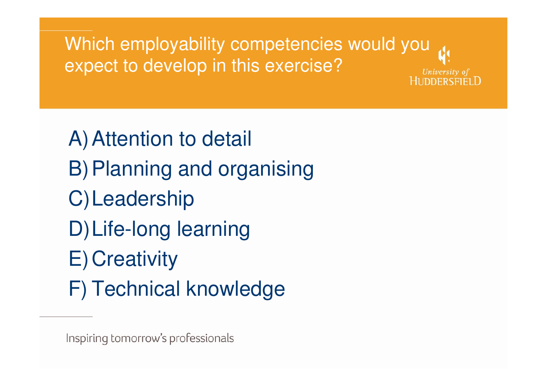Which employability competencies would you expect to develop in this exercise?University of HUDDERSEIELD

A)Attention to detailB)Planning and organisingC)LeadershipD)Life-long learningE) Creativity F) Technical knowledge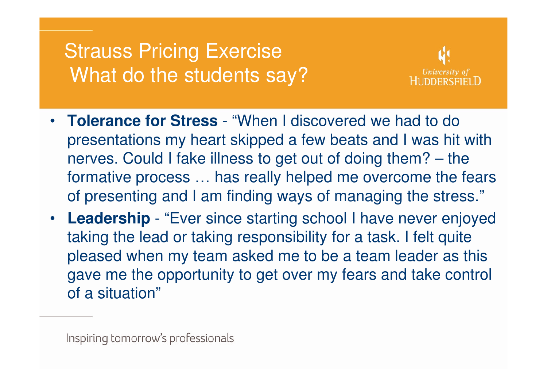### Strauss Pricing ExerciseWhat do the students say?



- **Tolerance for Stress**  "When I discovered we had to do presentations my heart skipped a few beats and I was hit with nerves. Could I fake illness to get out of doing them? – the formative process … has really helped me overcome the fears of presenting and I am finding ways of managing the stress."
- **Leadership** "Ever since starting school I have never enjoyed taking the lead or taking responsibility for a task. I felt quite pleased when my team asked me to be a team leader as this gave me the opportunity to get over my fears and take control of a situation"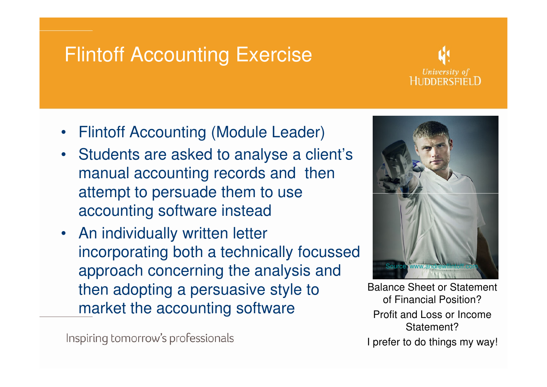### Flintoff Accounting Exercise



- Flintoff Accounting (Module Leader)
- • Students are asked to analyse a client's manual accounting records and then attempt to persuade them to use accounting software instead
- An individually written letter incorporating both a technically focussed approach concerning the analysis and then adopting a persuasive style to market the accounting software



Balance Sheet or Statement of Financial Position? Profit and Loss or Income Statement?I prefer to do things my way!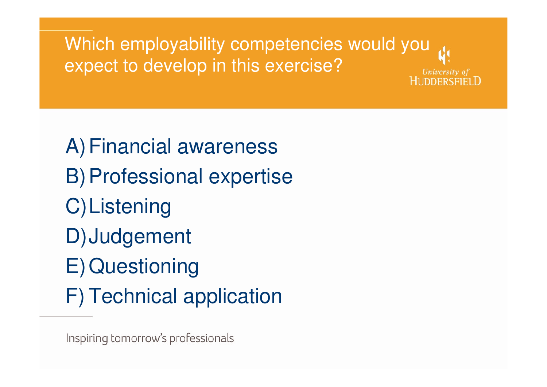Which employability competencies would you expect to develop in this exercise?University of HUDDERSEIELD

A)Financial awarenessB)Professional expertiseC)ListeningD)JudgementE)QuestioningF) Technical application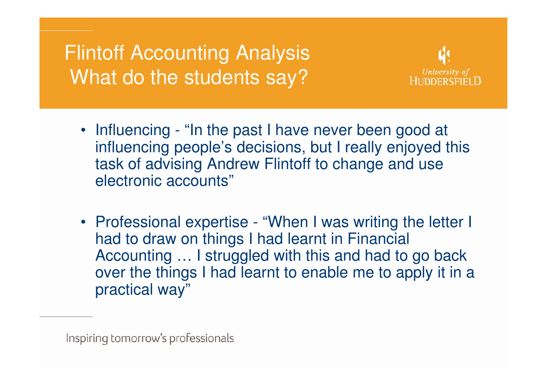# Flintoff Accounting AnalysisWhat do the students say?



- Influencing "In the past I have never been good at influencing people's decisions, but I really enjoyed this task of advising Andrew Flintoff to change and use electronic accounts"
- Professional expertise "When I was writing the letter I had to draw on things I had learnt in Financial Accounting … I struggled with this and had to go back over the things I had learnt to enable me to apply it in a practical way"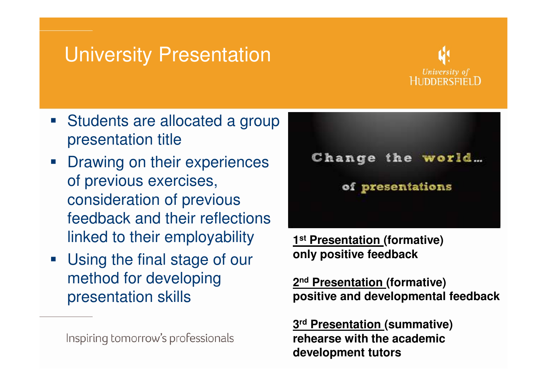### University Presentation



- Students are allocated a group presentation title
- **Drawing on their experiences** of previous exercises, consideration of previous feedback and their reflections linked to their employability
- **Using the final stage of our** method for developing presentation skills

Inspiring tomorrow's professionals



**1st Presentation (formative)only positive feedback**

**2nd Presentation (formative)positive and developmental feedback**

**3rd Presentation (summative)rehearse with the academic development tutors**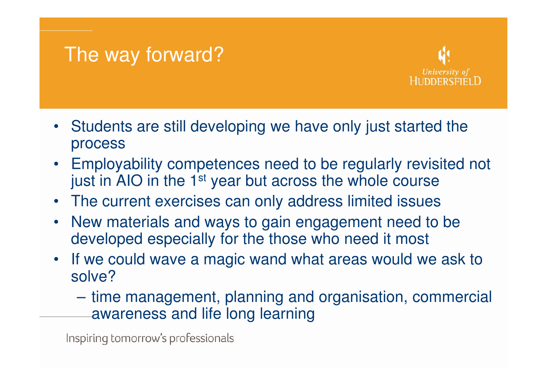#### The way forward?



- Students are still developing we have only just started the process
- • Employability competences need to be regularly revisited not just in AIO in the 1<sup>st</sup> year but across the whole course
- The current exercises can only address limited issues
- New materials and ways to gain engagement need to be •developed especially for the those who need it most
- If we could wave a magic wand what areas would we ask tosolve?
	- $\mathcal{L}_{\mathcal{A}}$  time management, planning and organisation, commercial awareness and life long learning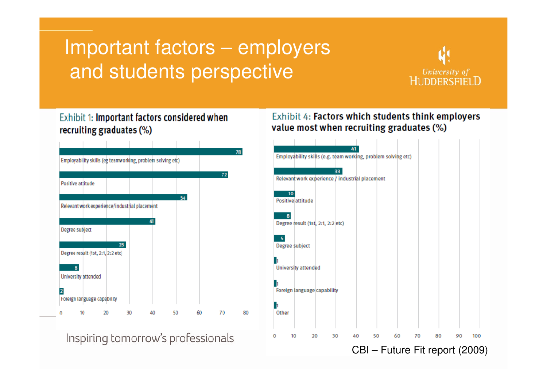# Important factors – employers and students perspective



#### Exhibit 1: Important factors considered when recruiting graduates (%)



Inspiring tomorrow's professionals

#### Exhibit 4: Factors which students think employers value most when recruiting graduates (%)

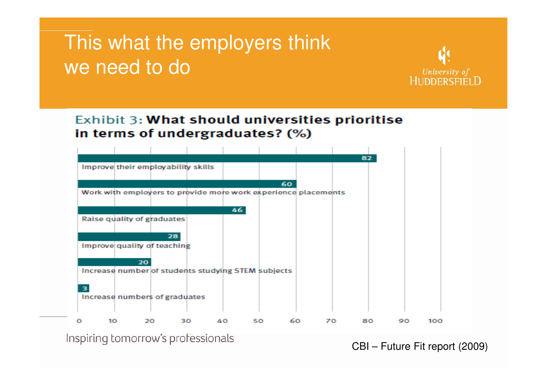# This what the employers think we need to do



#### Exhibit 3: What should universities prioritise in terms of undergraduates? (%)



CBI – Future Fit report (2009)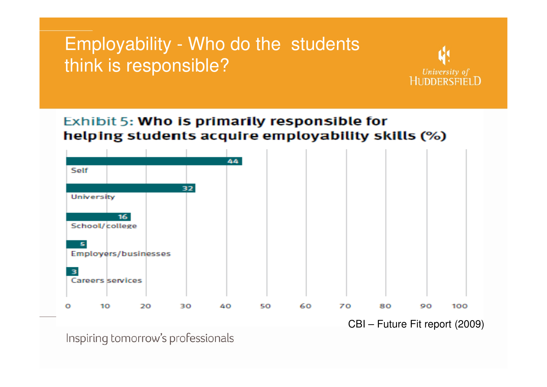#### Employability - Who do the students think is responsible?

University of **HUDDERSEIELD** 

#### Exhibit 5: Who is primarily responsible for helping students acquire employability skills (%)



CBI – Future Fit report (2009)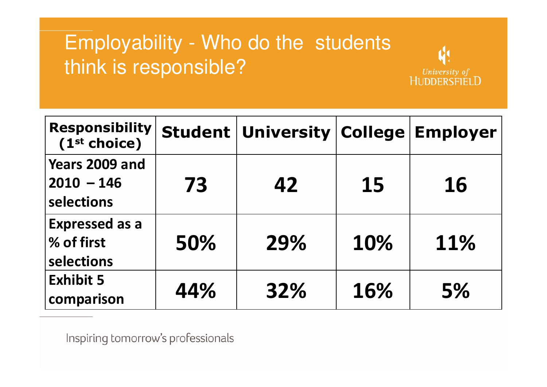# Employability - Who do the students think is responsible?



University of **HUDDERSFIELD**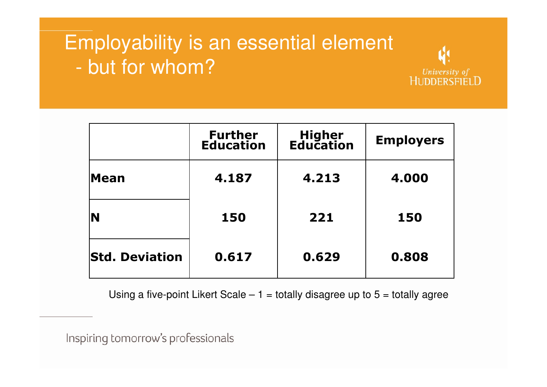# Employability is an essential elementbut for whom?

|                       | <b>Further</b><br><b>Education</b> | <b>Higher</b><br>Education | <b>Employers</b> |
|-----------------------|------------------------------------|----------------------------|------------------|
| Mean                  | 4.187                              | 4.213                      | 4.000            |
| IN                    | 150                                | 221                        | 150              |
| <b>Std. Deviation</b> | 0.617                              | 0.629                      | 0.808            |

University of<br>HUDDERSFIELD

Using a five-point Likert Scale  $-1$  = totally disagree up to  $5$  = totally agree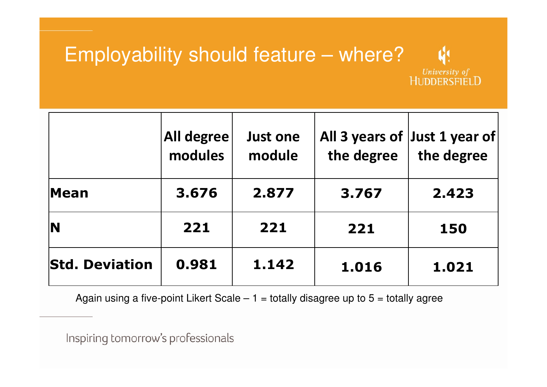#### Employability should feature – where?М University of<br>HUDDERSFIELD

|                       | All degree<br>modules | <b>Just one</b><br>module | the degree | All 3 years of Just 1 year of<br>the degree |
|-----------------------|-----------------------|---------------------------|------------|---------------------------------------------|
| <b>Mean</b>           | 3.676                 | 2.877                     | 3.767      | 2.423                                       |
| IN                    | 221                   | 221                       | 221        | 150                                         |
| <b>Std. Deviation</b> | 0.981                 | 1.142                     | 1.016      | 1.021                                       |

Again using a five-point Likert Scale  $-1$  = totally disagree up to  $5$  = totally agree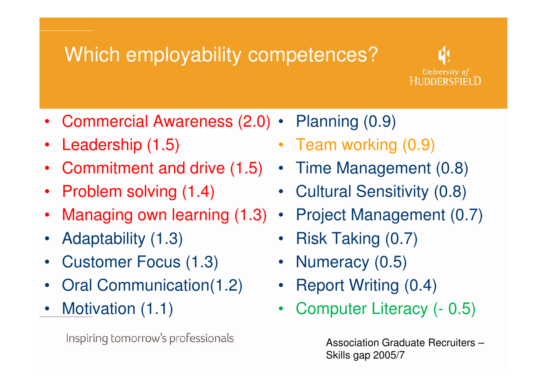# Which employability competences?

#### University of  $H$ linnerseiei D

- Commercial Awareness (2.0) •
- •Leadership (1.5)
- •Commitment and drive (1.5)
- •Problem solving (1.4)
- •Managing own learning (1.3)
- •Adaptability (1.3)
- •Customer Focus (1.3)
- •Oral Communication(1.2)
- •Motivation (1.1)

Inspiring tomorrow's professionals

- Planning (0.9)
	- •Team working (0.9)
	- Time Management (0.8)
	- Cultural Sensitivity (0.8)
	- •Project Management (0.7)
	- •Risk Taking (0.7)
	- $\bullet$ Numeracy (0.5)
	- $\bullet$ Report Writing (0.4)
	- •Computer Literacy (- 0.5)

Association Graduate Recruiters –Skills gap 2005/7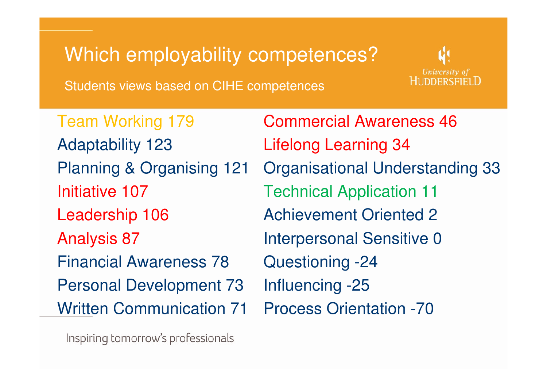#### Which employability competences?

Students views based on CIHE competences



Team Working 179Adaptability 123Planning & Organising 121Initiative 107Leadership 106Analysis 87Financial Awareness 78Personal Development 73Written Communication 71

Inspiring tomorrow's professionals

Commercial Awareness 46Lifelong Learning 34Organisational Understanding 33Technical Application 11Achievement Oriented 2Interpersonal Sensitive 0Questioning -24Influencing -25Process Orientation -70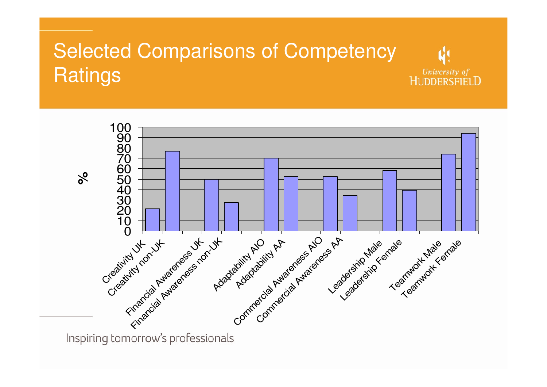# Selected Comparisons of Competency **Ratings**



University of **HUDDERSFIELD**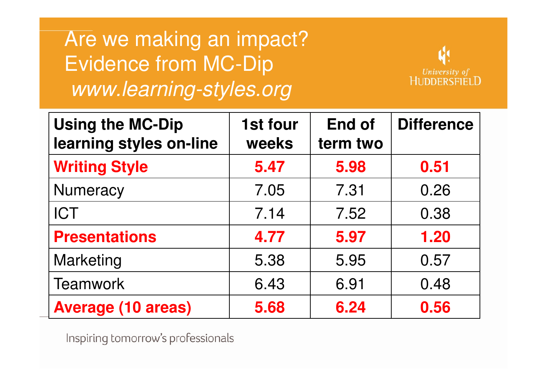# Are we making an impact?Evidence from MC-Dipwww.learning-styles.org



| <b>Using the MC-Dip</b><br>learning styles on-line | 1st four<br>weeks | <b>End of</b><br>term two | <b>Difference</b> |
|----------------------------------------------------|-------------------|---------------------------|-------------------|
| <b>Writing Style</b>                               | 5.47              | 5.98                      | 0.51              |
| Numeracy                                           | 7.05              | 7.31                      | 0.26              |
| <b>ICT</b>                                         | 7.14              | 7.52                      | 0.38              |
| <b>Presentations</b>                               | 4.77              | 5.97                      | 1.20              |
| Marketing                                          | 5.38              | 5.95                      | 0.57              |
| <b>Teamwork</b>                                    | 6.43              | 6.91                      | 0.48              |
| <b>Average (10 areas)</b>                          | 5.68              | 6.24                      | 0.56              |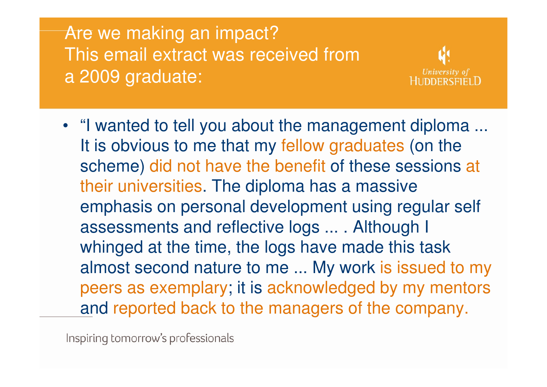Are we making an impact? This email extract was received from a 2009 graduate:



• "I wanted to tell you about the management diploma ... It is obvious to me that my fellow graduates (on the scheme) did not have the benefit of these sessions at their universities. The diploma has a massive emphasis on personal development using regular selfassessments and reflective logs ... . Although I whinged at the time, the logs have made this task almost second nature to me ... My work is issued to my peers as exemplary; it is acknowledged by my mentorsand reported back to the managers of the company.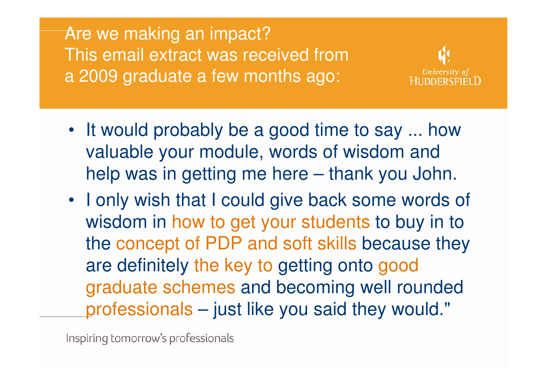Are we making an impact? This email extract was received from a 2009 graduate a few months ago:



- It would probably be a good time to say ... how valuable your module, words of wisdom and help was in getting me here – thank you John.
- I only wish that I could give back some words of wisdom in how to get your students to buy in to the concept of PDP and soft skills because they are definitely the key to getting onto good graduate schemes and becoming well rounded professionals – just like you said they would."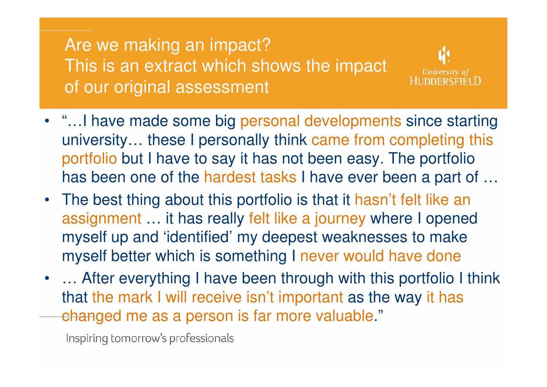Are we making an impact? This is an extract which shows the impact of our original assessment

• "…I have made some big personal developments since starting university… these I personally think came from completing thisportfolio but I have to say it has not been easy. The portfolio has been one of the hardest tasks I have ever been a part of …

University of

- The best thing about this portfolio is that it hasn't felt like an assignment … it has really felt like a journey where I opened myself up and 'identified' my deepest weaknesses to make myself better which is something I never would have done
- • … After everything I have been through with this portfolio I think that the mark I will receive isn't important as the way it has changed me as a person is far more valuable."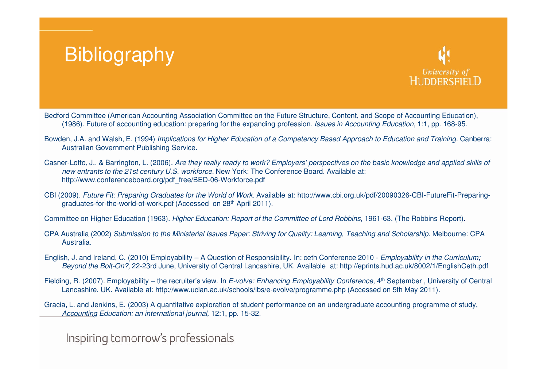## **Bibliography**



- Bedford Committee (American Accounting Association Committee on the Future Structure, Content, and Scope of Accounting Education), (1986). Future of accounting education: preparing for the expanding profession. Issues in Accounting Education, 1:1, pp. 168-95.
- Bowden, J.A. and Walsh, E. (1994) Implications for Higher Education of a Competency Based Approach to Education and Training. Canberra: Australian Government Publishing Service.
- Casner-Lotto, J., & Barrington, L. (2006). Are they really ready to work? Employers' perspectives on the basic knowledge and applied skills of new entrants to the 21st century U.S. workforce. New York: The Conference Board. Available at: http://www.conferenceboard.org/pdf\_free/BED-06-Workforce.pdf
- -CBI (2009). *Future Fit: Preparing Graduates for the World of Work.* Available at: http://www.cbi.org.uk/pdf/20090326-CBI-FutureFit-Preparing<br>graduates-for-the-world-of-work.pdf (Accessed on 28<sup>th</sup> April 2011).
- Committee on Higher Education (1963). Higher Education: Report of the Committee of Lord Robbins, 1961-63. (The Robbins Report).
- CPA Australia (2002) Submission to the Ministerial Issues Paper: Striving for Quality: Learning, Teaching and Scholarship. Melbourne: CPA Australia.
- English, J. and Ireland, C. (2010) Employability A Question of Responsibility. In: ceth Conference 2010 *Employability in the Curriculum;* Beyond the Bolt-On?, 22-23rd June, University of Central Lancashire, UK. Available at: http://eprints.hud.ac.uk/8002/1/EnglishCeth.pdf
- Fielding, R. (2007). Employability the recruiter's view. In E-volve: Enhancing Employability Conference,  $4<sup>th</sup>$  September, University of Central Lancashire, UK. Available at: http://www.uclan.ac.uk/schools/lbs/e-evolve/programme.php (Accessed on 5th May 2011).
- Gracia, L. and Jenkins, E. (2003) A quantitative exploration of student performance on an undergraduate accounting programme of study,Accounting Education: an international journal, 12:1, pp. 15-32.